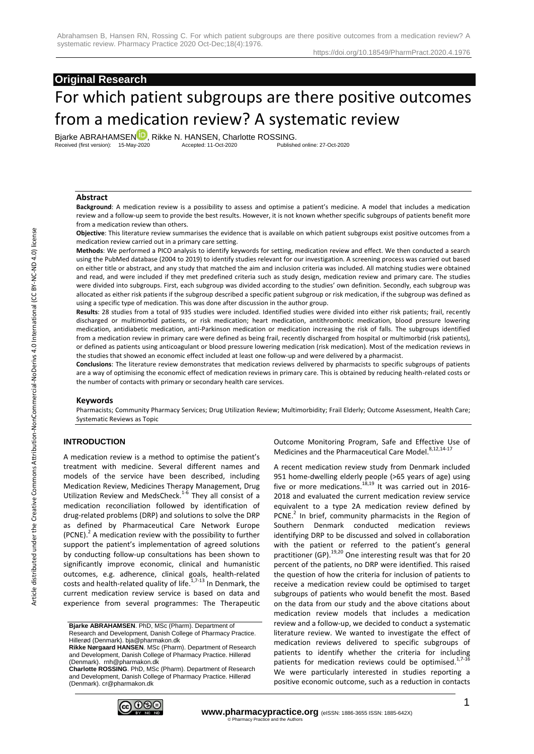# **Original Research** For which patient subgroups are there positive outcomes from a medication review? A systematic review

Bjarke ABRAHAMSE[N](https://orcid.org/0000-0002-6128-8269)<sup>1D</sup>, Rikke N. HANSEN, Charlotte ROSSING.<br>Received (first version): 15-May-2020 Accepted: 11-Oct-2020<br>Published online: 27-Oct-2020 Received (first version): 15-May-2020

#### **Abstract**

**Background**: A medication review is a possibility to assess and optimise a patient's medicine. A model that includes a medication review and a follow-up seem to provide the best results. However, it is not known whether specific subgroups of patients benefit more from a medication review than others.

**Objective**: This literature review summarises the evidence that is available on which patient subgroups exist positive outcomes from a medication review carried out in a primary care setting.

**Methods**: We performed a PICO analysis to identify keywords for setting, medication review and effect. We then conducted a search using the PubMed database (2004 to 2019) to identify studies relevant for our investigation. A screening process was carried out based on either title or abstract, and any study that matched the aim and inclusion criteria was included. All matching studies were obtained and read, and were included if they met predefined criteria such as study design, medication review and primary care. The studies were divided into subgroups. First, each subgroup was divided according to the studies' own definition. Secondly, each subgroup was allocated as either risk patients if the subgroup described a specific patient subgroup or risk medication, if the subgroup was defined as using a specific type of medication. This was done after discussion in the author group.

**Results**: 28 studies from a total of 935 studies were included. Identified studies were divided into either risk patients; frail, recently discharged or multimorbid patients, or risk medication; heart medication, antithrombotic medication, blood pressure lowering medication, antidiabetic medication, anti-Parkinson medication or medication increasing the risk of falls. The subgroups identified from a medication review in primary care were defined as being frail, recently discharged from hospital or multimorbid (risk patients), or defined as patients using anticoagulant or blood pressure lowering medication (risk medication). Most of the medication reviews in the studies that showed an economic effect included at least one follow-up and were delivered by a pharmacist.

**Conclusions**: The literature review demonstrates that medication reviews delivered by pharmacists to specific subgroups of patients are a way of optimising the economic effect of medication reviews in primary care. This is obtained by reducing health-related costs or the number of contacts with primary or secondary health care services.

#### **Keywords**

Pharmacists; Community Pharmacy Services; Drug Utilization Review; Multimorbidity; Frail Elderly; Outcome Assessment, Health Care; Systematic Reviews as Topic

#### **INTRODUCTION**

A medication review is a method to optimise the patient's treatment with medicine. Several different names and models of the service have been described, including Medication Review, Medicines Therapy Management, Drug Utilization Review and MedsCheck.<sup>1-6</sup> They all consist of a medication reconciliation followed by identification of drug-related problems (DRP) and solutions to solve the DRP as defined by Pharmaceutical Care Network Europe  $(PCNE).<sup>2</sup>$  A medication review with the possibility to further support the patient's implementation of agreed solutions by conducting follow-up consultations has been shown to significantly improve economic, clinical and humanistic outcomes, e.g. adherence, clinical goals, health-related costs and health-related quality of life.<sup>1,7-13</sup> In Denmark, the current medication review service is based on data and experience from several programmes: The Therapeutic

**Bjarke ABRAHAMSEN**. PhD, MSc (Pharm). Department of Research and Development, Danish College of Pharmacy Practice. Hillerød (Denmark). bja@pharmakon.dk

**Charlotte ROSSING**. PhD, MSc (Pharm). Department of Research and Development, Danish College of Pharmacy Practice. Hillerød (Denmark). cr@pharmakon.dk



Outcome Monitoring Program, Safe and Effective Use of Medicines and the Pharmaceutical Care Model.<sup>8,12,14-17</sup>

A recent medication review study from Denmark included 951 home-dwelling elderly people (>65 years of age) using five or more medications.<sup>18,19</sup> It was carried out in 2016-2018 and evaluated the current medication review service equivalent to a type 2A medication review defined by PCNE.<sup>2</sup> In brief, community pharmacists in the Region of Southern Denmark conducted medication reviews identifying DRP to be discussed and solved in collaboration with the patient or referred to the patient's general practitioner (GP).<sup>19,20</sup> One interesting result was that for 20 percent of the patients, no DRP were identified. This raised the question of how the criteria for inclusion of patients to receive a medication review could be optimised to target subgroups of patients who would benefit the most. Based on the data from our study and the above citations about medication review models that includes a medication review and a follow-up, we decided to conduct a systematic literature review. We wanted to investigate the effect of medication reviews delivered to specific subgroups of patients to identify whether the criteria for including patients for medication reviews could be optimised.<sup>1,7-16</sup> We were particularly interested in studies reporting a positive economic outcome, such as a reduction in contacts

**Rikke Nørgaard HANSEN**. MSc (Pharm). Department of Research and Development, Danish College of Pharmacy Practice. Hillerød (Denmark). rnh@pharmakon.dk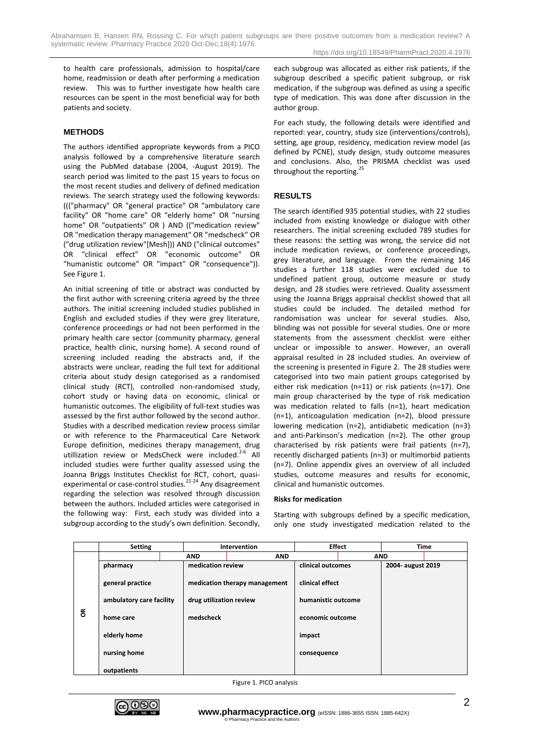to health care professionals, admission to hospital/care home, readmission or death after performing a medication review. This was to further investigate how health care resources can be spent in the most beneficial way for both patients and society.

# **METHODS**

The authors identified appropriate keywords from a PICO analysis followed by a comprehensive literature search using the PubMed database (2004, -August 2019). The search period was limited to the past 15 years to focus on the most recent studies and delivery of defined medication reviews. The search strategy used the following keywords: ((("pharmacy" OR "general practice" OR "ambulatory care facility" OR "home care" OR "elderly home" OR "nursing home" OR "outpatients" OR ) AND (("medication review" OR "medication therapy management" OR "medscheck" OR ("drug utilization review"[Mesh])) AND ("clinical outcomes" OR "clinical effect" OR "economic outcome" OR "humanistic outcome" OR "impact" OR "consequence")). See Figure 1.

An initial screening of title or abstract was conducted by the first author with screening criteria agreed by the three authors. The initial screening included studies published in English and excluded studies if they were grey literature, conference proceedings or had not been performed in the primary health care sector (community pharmacy, general practice, health clinic, nursing home). A second round of screening included reading the abstracts and, if the abstracts were unclear, reading the full text for additional criteria about study design categorised as a randomised clinical study (RCT), controlled non-randomised study, cohort study or having data on economic, clinical or humanistic outcomes. The eligibility of full-text studies was assessed by the first author followed by the second author. Studies with a described medication review process similar or with reference to the Pharmaceutical Care Network Europe definition, medicines therapy management, drug utillization review or MedsCheck were included.<sup>2-6</sup> All included studies were further quality assessed using the Joanna Briggs Institutes Checklist for RCT, cohort, quasiexperimental or case-control studies.<sup>21-24</sup> Any disagreement regarding the selection was resolved through discussion between the authors. Included articles were categorised in the following way: First, each study was divided into a subgroup according to the study's own definition. Secondly, each subgroup was allocated as either risk patients, if the subgroup described a specific patient subgroup, or risk medication, if the subgroup was defined as using a specific type of medication. This was done after discussion in the author group.

For each study, the following details were identified and reported: year, country, study size (interventions/controls), setting, age group, residency, medication review model (as defined by PCNE), study design, study outcome measures and conclusions. Also, the PRISMA checklist was used throughout the reporting.<sup>25</sup>

# **RESULTS**

The search identified 935 potential studies, with 22 studies included from existing knowledge or dialogue with other researchers. The initial screening excluded 789 studies for these reasons: the setting was wrong, the service did not include medication reviews, or conference proceedings, grey literature, and language. From the remaining 146 studies a further 118 studies were excluded due to undefined patient group, outcome measure or study design, and 28 studies were retrieved. Quality assessment using the Joanna Briggs appraisal checklist showed that all studies could be included. The detailed method for randomisation was unclear for several studies. Also, blinding was not possible for several studies. One or more statements from the assessment checklist were either unclear or impossible to answer. However, an overall appraisal resulted in 28 included studies. An overview of the screening is presented in Figure 2. The 28 studies were categorised into two main patient groups categorised by either risk medication (n=11) or risk patients (n=17). One main group characterised by the type of risk medication was medication related to falls (n=1), heart medication (n=1), anticoagulation medication (n=2), blood pressure lowering medication (n=2), antidiabetic medication (n=3) and anti-Parkinson's medication (n=2). The other group characterised by risk patients were frail patients (n=7), recently discharged patients (n=3) or multimorbid patients (n=7). Online appendix gives an overview of all included studies, outcome measures and results for economic, clinical and humanistic outcomes.

#### **Risks for medication**

Starting with subgroups defined by a specific medication, only one study investigated medication related to the

|             | <b>Setting</b>           |            | Intervention                  |             | <b>Effect</b>      |  | <b>Time</b>       |  |
|-------------|--------------------------|------------|-------------------------------|-------------|--------------------|--|-------------------|--|
|             |                          | <b>AND</b> | <b>AND</b>                    |             | <b>AND</b>         |  |                   |  |
| $\tilde{6}$ | pharmacy                 |            | medication review             |             | clinical outcomes  |  | 2004- august 2019 |  |
|             | general practice         |            | medication therapy management |             | clinical effect    |  |                   |  |
|             | ambulatory care facility |            | drug utilization review       |             | humanistic outcome |  |                   |  |
|             | home care                | medscheck  |                               |             | economic outcome   |  |                   |  |
|             | elderly home             |            |                               | impact      |                    |  |                   |  |
|             | nursing home             |            |                               | consequence |                    |  |                   |  |
|             | outpatients              |            |                               |             |                    |  |                   |  |

Figure 1. PICO analysis

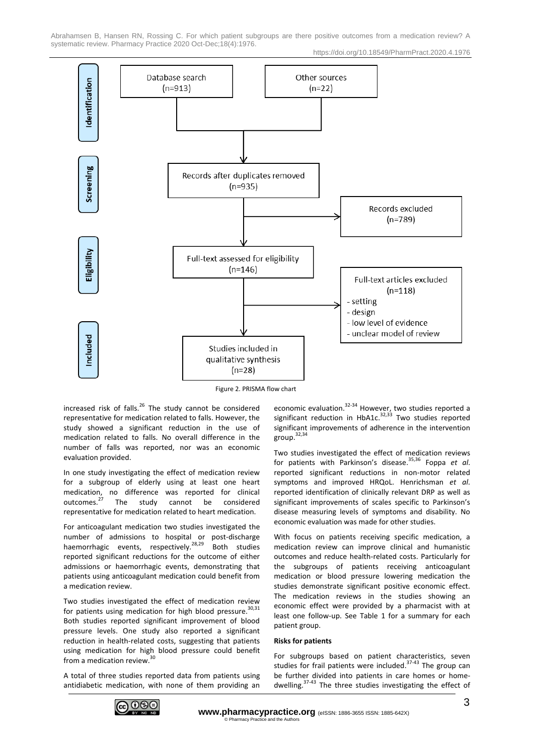Abrahamsen B, Hansen RN, Rossing C. For which patient subgroups are there positive outcomes from a medication review? A systematic review. Pharmacy Practice 2020 Oct-Dec; 18(4):1976.

https://doi.org/10.18549/PharmPract.2020.4.1976



Figure 2. PRISMA flow chart

increased risk of falls.<sup>26</sup> The study cannot be considered representative for medication related to falls. However, the study showed a significant reduction in the use of medication related to falls. No overall difference in the number of falls was reported, nor was an economic evaluation provided.

In one study investigating the effect of medication review for a subgroup of elderly using at least one heart medication, no difference was reported for clinical outcomes.<sup>27</sup> The study cannot be considered representative for medication related to heart medication.

For anticoagulant medication two studies investigated the number of admissions to hospital or post-discharge haemorrhagic events, respectively.<sup>28,29</sup> Both studies reported significant reductions for the outcome of either admissions or haemorrhagic events, demonstrating that patients using anticoagulant medication could benefit from a medication review.

Two studies investigated the effect of medication review for patients using medication for high blood pressure.<sup>30,31</sup> Both studies reported significant improvement of blood pressure levels. One study also reported a significant reduction in health-related costs, suggesting that patients using medication for high blood pressure could benefit from a medication review.<sup>30</sup>

A total of three studies reported data from patients using antidiabetic medication, with none of them providing an

economic evaluation.<sup>32-34</sup> However, two studies reported a significant reduction in HbA1c.<sup>32,33</sup> Two studies reported significant improvements of adherence in the intervention group. 32,34

Two studies investigated the effect of medication reviews for patients with Parkinson's disease. 35,36 Foppa *et al*. reported significant reductions in non-motor related symptoms and improved HRQoL. Henrichsman *et al*. reported identification of clinically relevant DRP as well as significant improvements of scales specific to Parkinson's disease measuring levels of symptoms and disability. No economic evaluation was made for other studies.

With focus on patients receiving specific medication, a medication review can improve clinical and humanistic outcomes and reduce health-related costs. Particularly for the subgroups of patients receiving anticoagulant medication or blood pressure lowering medication the studies demonstrate significant positive economic effect. The medication reviews in the studies showing an economic effect were provided by a pharmacist with at least one follow-up. See Table 1 for a summary for each patient group.

## **Risks for patients**

For subgroups based on patient characteristics, seven studies for frail patients were included.<sup>37-43</sup> The group can be further divided into patients in care homes or homedwelling.<sup>37-43</sup> The three studies investigating the effect of

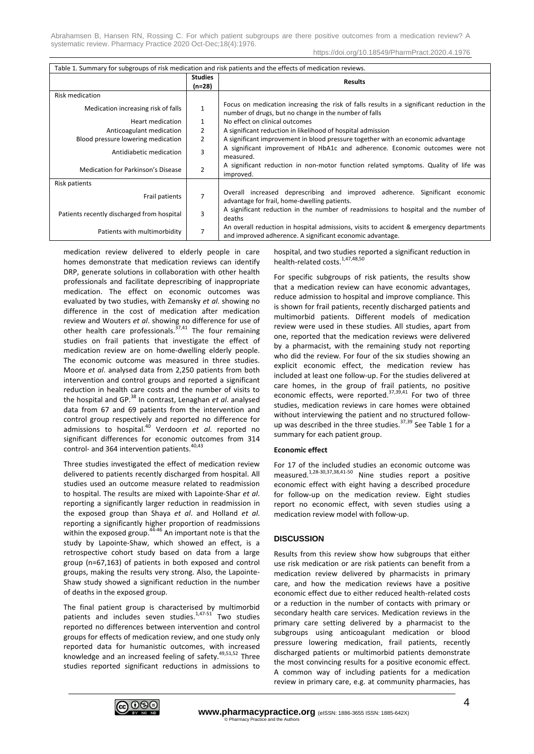Abrahamsen B, Hansen RN, Rossing C. For which patient subgroups are there positive outcomes from a medication review? A systematic review. Pharmacy Practice 2020 Oct-Dec;18(4):1976.

https://doi.org/10.18549/PharmPract.2020.4.1976

| Table 1. Summary for subgroups of risk medication and risk patients and the effects of medication reviews. |                            |                                                                                                                                                      |  |  |  |  |
|------------------------------------------------------------------------------------------------------------|----------------------------|------------------------------------------------------------------------------------------------------------------------------------------------------|--|--|--|--|
|                                                                                                            | <b>Studies</b><br>$(n=28)$ | <b>Results</b>                                                                                                                                       |  |  |  |  |
| <b>Risk medication</b>                                                                                     |                            |                                                                                                                                                      |  |  |  |  |
| Medication increasing risk of falls                                                                        |                            | Focus on medication increasing the risk of falls results in a significant reduction in the<br>number of drugs, but no change in the number of falls  |  |  |  |  |
| Heart medication                                                                                           |                            | No effect on clinical outcomes                                                                                                                       |  |  |  |  |
| Anticoagulant medication                                                                                   | $\mathbf{2}$               | A significant reduction in likelihood of hospital admission                                                                                          |  |  |  |  |
| Blood pressure lowering medication                                                                         | 2                          | A significant improvement in blood pressure together with an economic advantage                                                                      |  |  |  |  |
| Antidiabetic medication                                                                                    | 3                          | A significant improvement of HbA1c and adherence. Economic outcomes were not<br>measured.                                                            |  |  |  |  |
| Medication for Parkinson's Disease                                                                         | $\overline{2}$             | A significant reduction in non-motor function related symptoms. Quality of life was<br>improved.                                                     |  |  |  |  |
| <b>Risk patients</b>                                                                                       |                            |                                                                                                                                                      |  |  |  |  |
| Frail patients                                                                                             |                            | Overall increased deprescribing and improved adherence. Significant economic<br>advantage for frail, home-dwelling patients.                         |  |  |  |  |
| Patients recently discharged from hospital                                                                 | 3                          | A significant reduction in the number of readmissions to hospital and the number of<br>deaths                                                        |  |  |  |  |
| Patients with multimorbidity                                                                               |                            | An overall reduction in hospital admissions, visits to accident & emergency departments<br>and improved adherence. A significant economic advantage. |  |  |  |  |

medication review delivered to elderly people in care homes demonstrate that medication reviews can identify DRP, generate solutions in collaboration with other health professionals and facilitate deprescribing of inappropriate medication. The effect on economic outcomes was evaluated by two studies, with Zemansky *et al*. showing no difference in the cost of medication after medication review and Wouters *et al*. showing no difference for use of other health care professionals.<sup>37,41</sup> The four remaining studies on frail patients that investigate the effect of medication review are on home-dwelling elderly people. The economic outcome was measured in three studies. Moore *et al*. analysed data from 2,250 patients from both intervention and control groups and reported a significant reduction in health care costs and the number of visits to the hospital and GP.<sup>38</sup> In contrast, Lenaghan *et al*. analysed data from 67 and 69 patients from the intervention and control group respectively and reported no difference for admissions to hospital.<sup>40</sup> Verdoorn *et al*. reported no significant differences for economic outcomes from 314 control- and 364 intervention patients.<sup>40,43</sup>

Three studies investigated the effect of medication review delivered to patients recently discharged from hospital. All studies used an outcome measure related to readmission to hospital. The results are mixed with Lapointe-Shar *et al*. reporting a significantly larger reduction in readmission in the exposed group than Shaya *et al*. and Holland *et al*. reporting a significantly higher proportion of readmissions within the exposed group.44-46 An important note is that the study by Lapointe-Shaw, which showed an effect, is a retrospective cohort study based on data from a large group (n=67,163) of patients in both exposed and control groups, making the results very strong. Also, the Lapointe-Shaw study showed a significant reduction in the number of deaths in the exposed group.

The final patient group is characterised by multimorbid patients and includes seven studies.<sup>1,47-51</sup> Two studies reported no differences between intervention and control groups for effects of medication review, and one study only reported data for humanistic outcomes, with increased knowledge and an increased feeling of safety.<sup>49,51,52</sup> Three studies reported significant reductions in admissions to hospital, and two studies reported a significant reduction in health-related costs.<sup>1,47,48,50</sup>

For specific subgroups of risk patients, the results show that a medication review can have economic advantages, reduce admission to hospital and improve compliance. This is shown for frail patients, recently discharged patients and multimorbid patients. Different models of medication review were used in these studies. All studies, apart from one, reported that the medication reviews were delivered by a pharmacist, with the remaining study not reporting who did the review. For four of the six studies showing an explicit economic effect, the medication review has included at least one follow-up. For the studies delivered at care homes, in the group of frail patients, no positive economic effects, were reported.<sup>37,39,41</sup> For two of three studies, medication reviews in care homes were obtained without interviewing the patient and no structured followup was described in the three studies. $37,39$  See Table 1 for a summary for each patient group.

## **Economic effect**

For 17 of the included studies an economic outcome was measured. 1,28-30,37,38,41-50 Nine studies report a positive economic effect with eight having a described procedure for follow-up on the medication review. Eight studies report no economic effect, with seven studies using a medication review model with follow-up.

## **DISCUSSION**

Results from this review show how subgroups that either use risk medication or are risk patients can benefit from a medication review delivered by pharmacists in primary care, and how the medication reviews have a positive economic effect due to either reduced health-related costs or a reduction in the number of contacts with primary or secondary health care services. Medication reviews in the primary care setting delivered by a pharmacist to the subgroups using anticoagulant medication or blood pressure lowering medication, frail patients, recently discharged patients or multimorbid patients demonstrate the most convincing results for a positive economic effect. A common way of including patients for a medication review in primary care, e.g. at community pharmacies, has

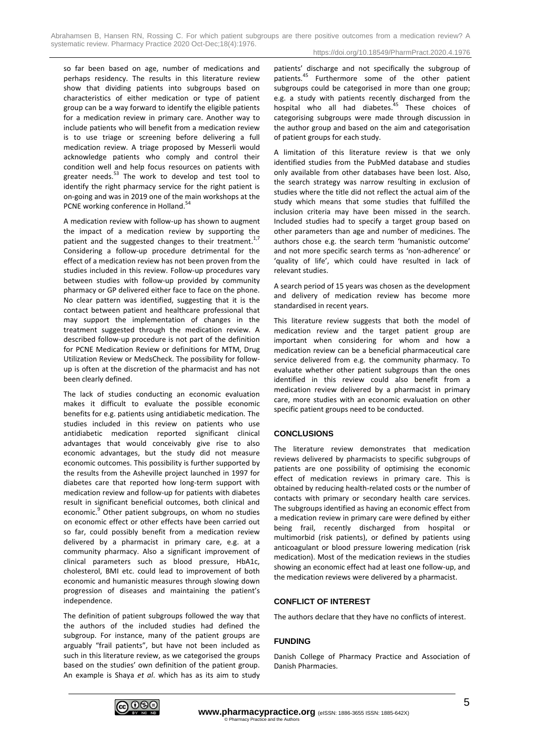Abrahamsen B, Hansen RN, Rossing C. For which patient subgroups are there positive outcomes from a medication review? A systematic review. Pharmacy Practice 2020 Oct-Dec; 18(4):1976.

so far been based on age, number of medications and perhaps residency. The results in this literature review show that dividing patients into subgroups based on characteristics of either medication or type of patient group can be a way forward to identify the eligible patients for a medication review in primary care. Another way to include patients who will benefit from a medication review is to use triage or screening before delivering a full medication review. A triage proposed by Messerli would acknowledge patients who comply and control their condition well and help focus resources on patients with greater needs.<sup>53</sup> The work to develop and test tool to identify the right pharmacy service for the right patient is on-going and was in 2019 one of the main workshops at the PCNE working conference in Holland.<sup>54</sup>

A medication review with follow-up has shown to augment the impact of a medication review by supporting the patient and the suggested changes to their treatment.<sup>1,7</sup> Considering a follow-up procedure detrimental for the effect of a medication review has not been proven from the studies included in this review. Follow-up procedures vary between studies with follow-up provided by community pharmacy or GP delivered either face to face on the phone. No clear pattern was identified, suggesting that it is the contact between patient and healthcare professional that may support the implementation of changes in the treatment suggested through the medication review. A described follow-up procedure is not part of the definition for PCNE Medication Review or definitions for MTM, Drug Utilization Review or MedsCheck. The possibility for followup is often at the discretion of the pharmacist and has not been clearly defined.

The lack of studies conducting an economic evaluation makes it difficult to evaluate the possible economic benefits for e.g. patients using antidiabetic medication. The studies included in this review on patients who use antidiabetic medication reported significant clinical advantages that would conceivably give rise to also economic advantages, but the study did not measure economic outcomes. This possibility is further supported by the results from the Asheville project launched in 1997 for diabetes care that reported how long-term support with medication review and follow-up for patients with diabetes result in significant beneficial outcomes, both clinical and economic.<sup>9</sup> Other patient subgroups, on whom no studies on economic effect or other effects have been carried out so far, could possibly benefit from a medication review delivered by a pharmacist in primary care, e.g. at a community pharmacy. Also a significant improvement of clinical parameters such as blood pressure, HbA1c, cholesterol, BMI etc. could lead to improvement of both economic and humanistic measures through slowing down progression of diseases and maintaining the patient's independence.

The definition of patient subgroups followed the way that the authors of the included studies had defined the subgroup. For instance, many of the patient groups are arguably "frail patients", but have not been included as such in this literature review, as we categorised the groups based on the studies' own definition of the patient group. An example is Shaya *et al*. which has as its aim to study patients' discharge and not specifically the subgroup of patients.<sup>45</sup> Furthermore some of the other patient subgroups could be categorised in more than one group; e.g. a study with patients recently discharged from the hospital who all had diabetes. <sup>45</sup> These choices of categorising subgroups were made through discussion in the author group and based on the aim and categorisation of patient groups for each study.

A limitation of this literature review is that we only identified studies from the PubMed database and studies only available from other databases have been lost. Also, the search strategy was narrow resulting in exclusion of studies where the title did not reflect the actual aim of the study which means that some studies that fulfilled the inclusion criteria may have been missed in the search. Included studies had to specify a target group based on other parameters than age and number of medicines. The authors chose e.g. the search term 'humanistic outcome' and not more specific search terms as 'non-adherence' or 'quality of life', which could have resulted in lack of relevant studies.

A search period of 15 years was chosen as the development and delivery of medication review has become more standardised in recent years.

This literature review suggests that both the model of medication review and the target patient group are important when considering for whom and how a medication review can be a beneficial pharmaceutical care service delivered from e.g. the community pharmacy. To evaluate whether other patient subgroups than the ones identified in this review could also benefit from a medication review delivered by a pharmacist in primary care, more studies with an economic evaluation on other specific patient groups need to be conducted.

## **CONCLUSIONS**

The literature review demonstrates that medication reviews delivered by pharmacists to specific subgroups of patients are one possibility of optimising the economic effect of medication reviews in primary care. This is obtained by reducing health-related costs or the number of contacts with primary or secondary health care services. The subgroups identified as having an economic effect from a medication review in primary care were defined by either being frail, recently discharged from hospital or multimorbid (risk patients), or defined by patients using anticoagulant or blood pressure lowering medication (risk medication). Most of the medication reviews in the studies showing an economic effect had at least one follow-up, and the medication reviews were delivered by a pharmacist.

## **CONFLICT OF INTEREST**

The authors declare that they have no conflicts of interest.

## **FUNDING**

Danish College of Pharmacy Practice and Association of Danish Pharmacies.

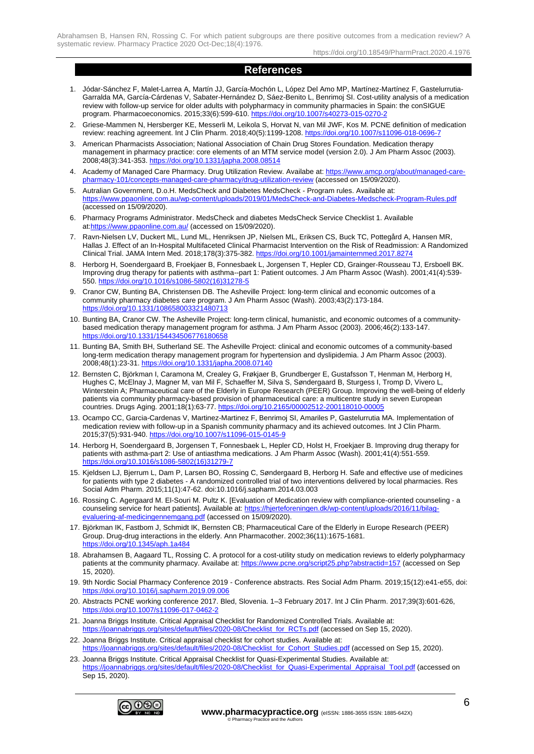Abrahamsen B, Hansen RN, Rossing C. For which patient subgroups are there positive outcomes from a medication review? A systematic review. Pharmacy Practice 2020 Oct-Dec;18(4):1976.

https://doi.org/10.18549/PharmPract.2020.4.1976

# **References**

- 1. Jódar-Sánchez F, Malet-Larrea A, Martín JJ, García-Mochón L, López Del Amo MP, Martínez-Martínez F, Gastelurrutia-Garralda MA, García-Cárdenas V, Sabater-Hernández D, Sáez-Benito L, Benrimoj SI. Cost-utility analysis of a medication review with follow-up service for older adults with polypharmacy in community pharmacies in Spain: the conSIGUE program. Pharmacoeconomics. 2015;33(6):599-610[. https://doi.org/10.1007/s40273-015-0270-2](https://doi.org/10.1007/s40273-015-0270-2)
- 2. Griese-Mammen N, Hersberger KE, Messerli M, Leikola S, Horvat N, van Mil JWF, Kos M. PCNE definition of medication review: reaching agreement. Int J Clin Pharm. 2018;40(5):1199-1208[. https://doi.org/10.1007/s11096-018-0696-7](https://doi.org/10.1007/s11096-018-0696-7)
- 3. American Pharmacists Association; National Association of Chain Drug Stores Foundation. Medication therapy management in pharmacy practice: core elements of an MTM service model (version 2.0). J Am Pharm Assoc (2003). 2008;48(3):341-353.<https://doi.org/10.1331/japha.2008.08514>
- 4. Academy of Managed Care Pharmacy. Drug Utilization Review. Availabe at[: https://www.amcp.org/about/managed-care](https://www.amcp.org/about/managed-care-pharmacy-101/concepts-managed-care-pharmacy/drug-utilization-review)[pharmacy-101/concepts-managed-care-pharmacy/drug-utilization-review](https://www.amcp.org/about/managed-care-pharmacy-101/concepts-managed-care-pharmacy/drug-utilization-review) (accessed on 15/09/2020).
- 5. Autralian Government, D.o.H. MedsCheck and Diabetes MedsCheck Program rules. Available at: <https://www.ppaonline.com.au/wp-content/uploads/2019/01/MedsCheck-and-Diabetes-Medscheck-Program-Rules.pdf> (accessed on 15/09/2020).
- 6. Pharmacy Programs Administrator. MedsCheck and diabetes MedsCheck Service Checklist 1. Available at[:https://www.ppaonline.com.au/](https://www.ppaonline.com.au/) (accessed on 15/09/2020).
- 7. Ravn-Nielsen LV, Duckert ML, Lund ML, Henriksen JP, Nielsen ML, Eriksen CS, Buck TC, Pottegård A, Hansen MR, Hallas J. Effect of an In-Hospital Multifaceted Clinical Pharmacist Intervention on the Risk of Readmission: A Randomized Clinical Trial. JAMA Intern Med. 2018;178(3):375-382[. https://doi.org/10.1001/jamainternmed.2017.8274](https://doi.org/10.1001/jamainternmed.2017.8274)
- 8. Herborg H, Soendergaard B, Froekjaer B, Fonnesbaek L, Jorgensen T, Hepler CD, Grainger-Rousseau TJ, Ersboell BK. Improving drug therapy for patients with asthma--part 1: Patient outcomes. J Am Pharm Assoc (Wash). 2001;41(4):539- 550. [https://doi.org/10.1016/s1086-5802\(16\)31278-5](https://doi.org/10.1016/s1086-5802(16)31278-5)
- 9. Cranor CW, Bunting BA, Christensen DB. The Asheville Project: long-term clinical and economic outcomes of a community pharmacy diabetes care program. J Am Pharm Assoc (Wash). 2003;43(2):173-184. <https://doi.org/10.1331/108658003321480713>
- 10. Bunting BA, Cranor CW. The Asheville Project: long-term clinical, humanistic, and economic outcomes of a communitybased medication therapy management program for asthma. J Am Pharm Assoc (2003). 2006;46(2):133-147. <https://doi.org/10.1331/154434506776180658>
- 11. Bunting BA, Smith BH, Sutherland SE. The Asheville Project: clinical and economic outcomes of a community-based long-term medication therapy management program for hypertension and dyslipidemia. J Am Pharm Assoc (2003). 2008;48(1):23-31.<https://doi.org/10.1331/japha.2008.07140>
- 12. Bernsten C, Björkman I, Caramona M, Crealey G, Frøkjaer B, Grundberger E, Gustafsson T, Henman M, Herborg H, Hughes C, McElnay J, Magner M, van Mil F, Schaeffer M, Silva S, Søndergaard B, Sturgess I, Tromp D, Vivero L, Winterstein A; Pharmaceutical care of the Elderly in Europe Research (PEER) Group. Improving the well-being of elderly patients via community pharmacy-based provision of pharmaceutical care: a multicentre study in seven European countries. Drugs Aging. 2001;18(1):63-77[. https://doi.org/10.2165/00002512-200118010-00005](https://doi.org/10.2165/00002512-200118010-00005)
- 13. Ocampo CC, Garcia-Cardenas V, Martinez-Martinez F, Benrimoj SI, Amariles P, Gastelurrutia MA. Implementation of medication review with follow-up in a Spanish community pharmacy and its achieved outcomes. Int J Clin Pharm. 2015;37(5):931-940.<https://doi.org/10.1007/s11096-015-0145-9>
- 14. Herborg H, Soendergaard B, Jorgensen T, Fonnesbaek L, Hepler CD, Holst H, Froekjaer B. Improving drug therapy for patients with asthma-part 2: Use of antiasthma medications. J Am Pharm Assoc (Wash). 2001;41(4):551-559. [https://doi.org/10.1016/s1086-5802\(16\)31279-7](https://doi.org/10.1016/s1086-5802(16)31279-7)
- 15. Kjeldsen LJ, Bjerrum L, Dam P, Larsen BO, Rossing C, Søndergaard B, Herborg H. Safe and effective use of medicines for patients with type 2 diabetes - A randomized controlled trial of two interventions delivered by local pharmacies. Res Social Adm Pharm. 2015;11(1):47-62. doi:10.1016/j.sapharm.2014.03.003
- 16. Rossing C. Agergaard M. El-Souri M. Pultz K. [Evaluation of Medication review with compliance-oriented counseling a counseling service for heart patients]. Available at[: https://hjerteforeningen.dk/wp-content/uploads/2016/11/bilag](https://hjerteforeningen.dk/wp-content/uploads/2016/11/bilag-evaluering-af-medicingennemgang.pdf)[evaluering-af-medicingennemgang.pdf](https://hjerteforeningen.dk/wp-content/uploads/2016/11/bilag-evaluering-af-medicingennemgang.pdf) (accessed on 15/09/2020).
- 17. Björkman IK, Fastbom J, Schmidt IK, Bernsten CB; Pharmaceutical Care of the Elderly in Europe Research (PEER) Group. Drug-drug interactions in the elderly. Ann Pharmacother. 2002;36(11):1675-1681. <https://doi.org/10.1345/aph.1a484>
- 18. Abrahamsen B, Aagaard TL, Rossing C. A protocol for a cost-utility study on medication reviews to elderly polypharmacy patients at the community pharmacy. Availabe at:<https://www.pcne.org/script25.php?abstractid=157> (accessed on Sep 15, 2020).
- 19. 9th Nordic Social Pharmacy Conference 2019 Conference abstracts. Res Social Adm Pharm. 2019;15(12):e41-e55, doi: <https://doi.org/10.1016/j.sapharm.2019.09.006>
- 20. Abstracts PCNE working conference 2017. Bled, Slovenia. 1–3 February 2017. Int J Clin Pharm. 2017;39(3):601-626, <https://doi.org/10.1007/s11096-017-0462-2>
- 21. Joanna Briggs Institute. Critical Appraisal Checklist for Randomized Controlled Trials. Available at: [https://joannabriggs.org/sites/default/files/2020-08/Checklist\\_for\\_RCTs.pdf](https://joannabriggs.org/sites/default/files/2020-08/Checklist_for_RCTs.pdf) (accessed on Sep 15, 2020).
- 22. Joanna Briggs Institute. Critical appraisal checklist for cohort studies. Available at: [https://joannabriggs.org/sites/default/files/2020-08/Checklist\\_for\\_Cohort\\_Studies.pdf](https://joannabriggs.org/sites/default/files/2020-08/Checklist_for_Cohort_Studies.pdf) (accessed on Sep 15, 2020).
- 23. Joanna Briggs Institute. Critical Appraisal Checklist for Quasi-Experimental Studies. Available at: [https://joannabriggs.org/sites/default/files/2020-08/Checklist\\_for\\_Quasi-Experimental\\_Appraisal\\_Tool.pdf](https://joannabriggs.org/sites/default/files/2020-08/Checklist_for_Quasi-Experimental_Appraisal_Tool.pdf) (accessed on Sep 15, 2020).

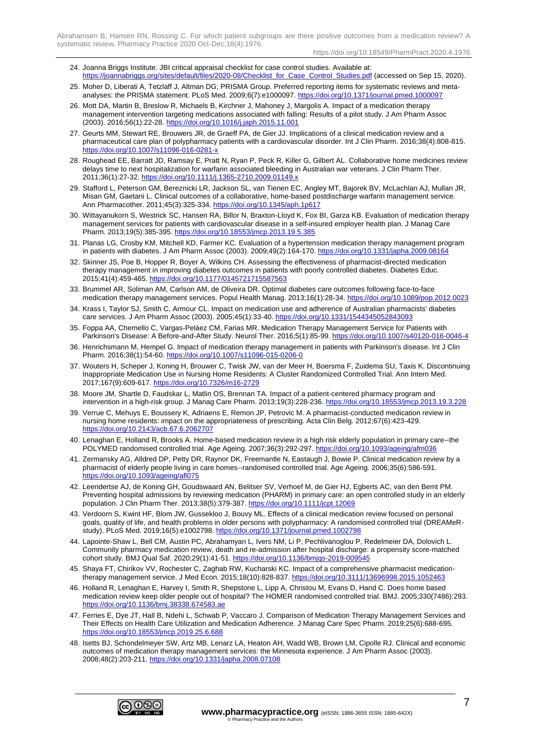- 24. Joanna Briggs Institute. JBI critical appraisal checklist for case control studies. Available at: [https://joannabriggs.org/sites/default/files/2020-08/Checklist\\_for\\_Case\\_Control\\_Studies.pdf](https://joannabriggs.org/sites/default/files/2020-08/Checklist_for_Case_Control_Studies.pdf) (accessed on Sep 15, 2020).
- 25. Moher D, Liberati A, Tetzlaff J, Altman DG; PRISMA Group. Preferred reporting items for systematic reviews and metaanalyses: the PRISMA statement. PLoS Med. 2009;6(7):e1000097.<https://doi.org/10.1371/journal.pmed.1000097>
- 26. Mott DA, Martin B, Breslow R, Michaels B, Kirchner J, Mahoney J, Margolis A. Impact of a medication therapy management intervention targeting medications associated with falling: Results of a pilot study. J Am Pharm Assoc (2003). 2016;56(1):22-28[. https://doi.org/10.1016/j.japh.2015.11.001](https://doi.org/10.1016/j.japh.2015.11.001)
- 27. Geurts MM, Stewart RE, Brouwers JR, de Graeff PA, de Gier JJ. Implications of a clinical medication review and a pharmaceutical care plan of polypharmacy patients with a cardiovascular disorder. Int J Clin Pharm. 2016;38(4):808-815. https://doi.org/10.1007/s11096-016-0281-
- 28. Roughead EE, Barratt JD, Ramsay E, Pratt N, Ryan P, Peck R, Killer G, Gilbert AL. Collaborative home medicines review delays time to next hospitalization for warfarin associated bleeding in Australian war veterans. J Clin Pharm Ther. 2011;36(1):27-32.<https://doi.org/10.1111/j.1365-2710.2009.01149.x>
- 29. Stafford L, Peterson GM, Bereznicki LR, Jackson SL, van Tienen EC, Angley MT, Bajorek BV, McLachlan AJ, Mullan JR, Misan GM, Gaetani L. Clinical outcomes of a collaborative, home-based postdischarge warfarin management service. Ann Pharmacother. 2011;45(3):325-334.<https://doi.org/10.1345/aph.1p617>
- 30. Wittayanukorn S, Westrick SC, Hansen RA, Billor N, Braxton-Lloyd K, Fox BI, Garza KB. Evaluation of medication therapy management services for patients with cardiovascular disease in a self-insured employer health plan. J Manag Care Pharm. 2013;19(5):385-395.<https://doi.org/10.18553/jmcp.2013.19.5.385>
- 31. Planas LG, Crosby KM, Mitchell KD, Farmer KC. Evaluation of a hypertension medication therapy management program in patients with diabetes. J Am Pharm Assoc (2003). 2009;49(2):164-170. https://doi.org/10.1331/japha.
- 32. Skinner JS, Poe B, Hopper R, Boyer A, Wilkins CH. Assessing the effectiveness of pharmacist-directed medication therapy management in improving diabetes outcomes in patients with poorly controlled diabetes. Diabetes Educ. 2015;41(4):459-465.<https://doi.org/10.1177/0145721715587563>
- 33. Brummel AR, Soliman AM, Carlson AM, de Oliveira DR. Optimal diabetes care outcomes following face-to-face medication therapy management services. Popul Health Manag. 2013;16(1):28-34[. https://doi.org/10.1089/pop.2012.0023](https://doi.org/10.1089/pop.2012.0023)
- 34. Krass I, Taylor SJ, Smith C, Armour CL. Impact on medication use and adherence of Australian pharmacists' diabetes care services. J Am Pharm Assoc (2003). 2005;45(1):33-40[. https://doi.org/10.1331/1544345052843093](https://doi.org/10.1331/1544345052843093)
- 35. Foppa AA, Chemello C, Vargas-Peláez CM, Farias MR. Medication Therapy Management Service for Patients with Parkinson's Disease: A Before-and-After Study. Neurol Ther. 2016;5(1):85-99[. https://doi.org/10.1007/s40120-016-0046-4](https://doi.org/10.1007/s40120-016-0046-4)
- 36. Henrichsmann M, Hempel G. Impact of medication therapy management in patients with Parkinson's disease. Int J Clin Pharm. 2016;38(1):54-60.<https://doi.org/10.1007/s11096-015-0206-0>
- 37. Wouters H, Scheper J, Koning H, Brouwer C, Twisk JW, van der Meer H, Boersma F, Zuidema SU, Taxis K. Discontinuing Inappropriate Medication Use in Nursing Home Residents: A Cluster Randomized Controlled Trial. Ann Intern Med. 2017;167(9):609-617[. https://doi.org/10.7326/m16-2729](https://doi.org/10.7326/m16-2729)
- 38. Moore JM, Shartle D, Faudskar L, Matlin OS, Brennan TA. Impact of a patient-centered pharmacy program and intervention in a high-risk group. J Manag Care Pharm. 2013;19(3):228-236. https://doi.org/10.18
- 39. Verrue C, Mehuys E, Boussery K, Adriaens E, Remon JP, Petrovic M. A pharmacist-conducted medication review in nursing home residents: impact on the appropriateness of prescribing. Acta Clin Belg. 2012;67(6):423-429. <https://doi.org/10.2143/acb.67.6.2062707>
- 40. Lenaghan E, Holland R, Brooks A. Home-based medication review in a high risk elderly population in primary care--the POLYMED randomised controlled trial. Age Ageing. 2007;36(3):292-297[. https://doi.org/10.1093/ageing/afm036](https://doi.org/10.1093/ageing/afm036)
- 41. Zermansky AG, Alldred DP, Petty DR, Raynor DK, Freemantle N, Eastaugh J, Bowie P. Clinical medication review by a pharmacist of elderly people living in care homes--randomised controlled trial. Age Ageing. 2006;35(6):586-591. <https://doi.org/10.1093/ageing/afl075>
- 42. Leendertse AJ, de Koning GH, Goudswaard AN, Belitser SV, Verhoef M, de Gier HJ, Egberts AC, van den Bemt PM. Preventing hospital admissions by reviewing medication (PHARM) in primary care: an open controlled study in an elderly population. J Clin Pharm Ther. 2013;38(5):379-387.<https://doi.org/10.1111/jcpt.12069>
- 43. Verdoorn S, Kwint HF, Blom JW, Gussekloo J, Bouvy ML. Effects of a clinical medication review focused on personal goals, quality of life, and health problems in older persons with polypharmacy: A randomised controlled trial (DREAMeRstudy). PLoS Med. 2019;16(5):e1002798.<https://doi.org/10.1371/journal.pmed.1002798>
- 44. Lapointe-Shaw L, Bell CM, Austin PC, Abrahamyan L, Ivers NM, Li P, Pechlivanoglou P, Redelmeier DA, Dolovich L. Community pharmacy medication review, death and re-admission after hospital discharge: a propensity score-matched cohort study. BMJ Qual Saf. 2020;29(1):41-51. https://doi.org/10.1136/bmjqs-2019-0095
- 45. Shaya FT, Chirikov VV, Rochester C, Zaghab RW, Kucharski KC. Impact of a comprehensive pharmacist medicationtherapy management service. J Med Econ. 2015;18(10):828-837. https://doi.org/10.3111/13696998
- 46. Holland R, Lenaghan E, Harvey I, Smith R, Shepstone L, Lipp A, Christou M, Evans D, Hand C. Does home based medication review keep older people out of hospital? The HOMER randomised controlled trial. BMJ. 2005;330(7486):293. <https://doi.org/10.1136/bmj.38338.674583.ae>
- 47. Ferries E, Dye JT, Hall B, Ndehi L, Schwab P, Vaccaro J. Comparison of Medication Therapy Management Services and Their Effects on Health Care Utilization and Medication Adherence. J Manag Care Spec Pharm. 2019;25(6):688-695. <https://doi.org/10.18553/jmcp.2019.25.6.688>
- 48. Isetts BJ, Schondelmeyer SW, Artz MB, Lenarz LA, Heaton AH, Wadd WB, Brown LM, Cipolle RJ. Clinical and economic outcomes of medication therapy management services: the Minnesota experience. J Am Pharm Assoc (2003). 2008;48(2):203-211.<https://doi.org/10.1331/japha.2008.07108>